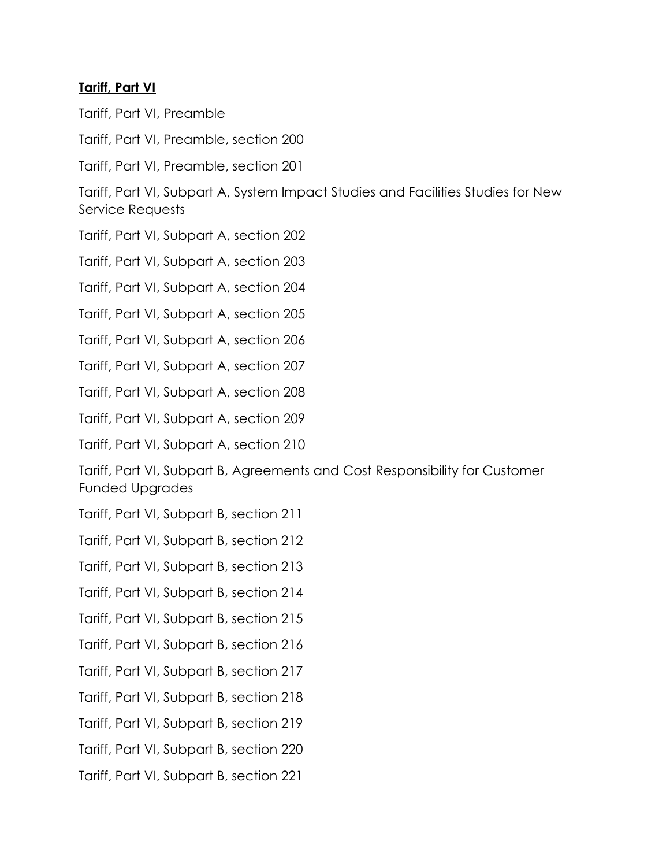## **Tariff, Part VI**

Tariff, Part VI, Preamble

Tariff, Part VI, Preamble, section 200

Tariff, Part VI, Preamble, section 201

Tariff, Part VI, Subpart A, System Impact Studies and Facilities Studies for New Service Requests

Tariff, Part VI, Subpart A, section 202

Tariff, Part VI, Subpart A, section 203

Tariff, Part VI, Subpart A, section 204

Tariff, Part VI, Subpart A, section 205

Tariff, Part VI, Subpart A, section 206

Tariff, Part VI, Subpart A, section 207

Tariff, Part VI, Subpart A, section 208

Tariff, Part VI, Subpart A, section 209

Tariff, Part VI, Subpart A, section 210

Tariff, Part VI, Subpart B, Agreements and Cost Responsibility for Customer Funded Upgrades

- Tariff, Part VI, Subpart B, section 211
- Tariff, Part VI, Subpart B, section 212

Tariff, Part VI, Subpart B, section 213

Tariff, Part VI, Subpart B, section 214

Tariff, Part VI, Subpart B, section 215

Tariff, Part VI, Subpart B, section 216

Tariff, Part VI, Subpart B, section 217

Tariff, Part VI, Subpart B, section 218

Tariff, Part VI, Subpart B, section 219

Tariff, Part VI, Subpart B, section 220

Tariff, Part VI, Subpart B, section 221